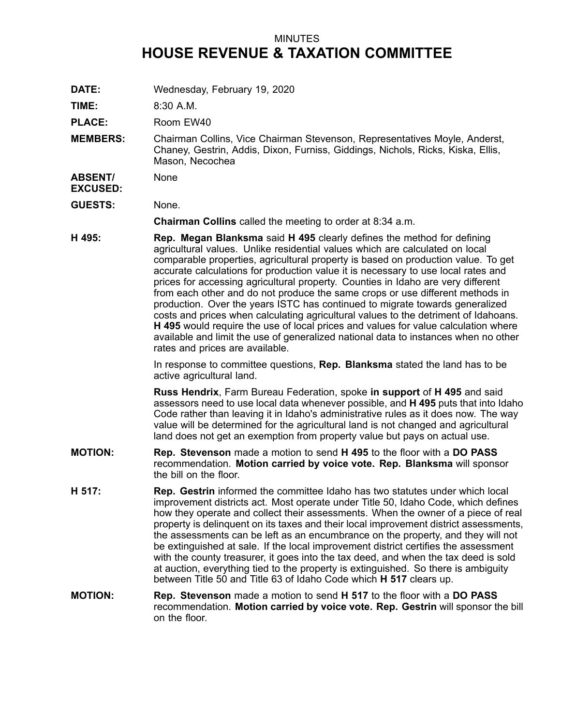## MINUTES **HOUSE REVENUE & TAXATION COMMITTEE**

**DATE:** Wednesday, February 19, 2020

**TIME:** 8:30 A.M.

PLACE: Room EW40

None

**MEMBERS:** Chairman Collins, Vice Chairman Stevenson, Representatives Moyle, Anderst, Chaney, Gestrin, Addis, Dixon, Furniss, Giddings, Nichols, Ricks, Kiska, Ellis, Mason, Necochea

## **ABSENT/ EXCUSED:**

**GUESTS:** None.

**Chairman Collins** called the meeting to order at 8:34 a.m.

**H 495: Rep. Megan Blanksma** said **H 495** clearly defines the method for defining agricultural values. Unlike residential values which are calculated on local comparable properties, agricultural property is based on production value. To get accurate calculations for production value it is necessary to use local rates and prices for accessing agricultural property. Counties in Idaho are very different from each other and do not produce the same crops or use different methods in production. Over the years ISTC has continued to migrate towards generalized costs and prices when calculating agricultural values to the detriment of Idahoans. **H 495** would require the use of local prices and values for value calculation where available and limit the use of generalized national data to instances when no other rates and prices are available.

> In response to committee questions, **Rep. Blanksma** stated the land has to be active agricultural land.

**Russ Hendrix**, Farm Bureau Federation, spoke **in support** of **H 495** and said assessors need to use local data whenever possible, and **H 495** puts that into Idaho Code rather than leaving it in Idaho's administrative rules as it does now. The way value will be determined for the agricultural land is not changed and agricultural land does not get an exemption from property value but pays on actual use.

## **MOTION: Rep. Stevenson** made <sup>a</sup> motion to send **H 495** to the floor with <sup>a</sup> **DO PASS** recommendation. **Motion carried by voice vote. Rep. Blanksma** will sponsor the bill on the floor.

- **H 517: Rep. Gestrin** informed the committee Idaho has two statutes under which local improvement districts act. Most operate under Title 50, Idaho Code, which defines how they operate and collect their assessments. When the owner of <sup>a</sup> piece of real property is delinquent on its taxes and their local improvement district assessments, the assessments can be left as an encumbrance on the property, and they will not be extinguished at sale. If the local improvement district certifies the assessment with the county treasurer, it goes into the tax deed, and when the tax deed is sold at auction, everything tied to the property is extinguished. So there is ambiguity between Title 50 and Title 63 of Idaho Code which **H 517** clears up.
- **MOTION: Rep. Stevenson** made <sup>a</sup> motion to send **H 517** to the floor with <sup>a</sup> **DO PASS** recommendation. **Motion carried by voice vote. Rep. Gestrin** will sponsor the bill on the floor.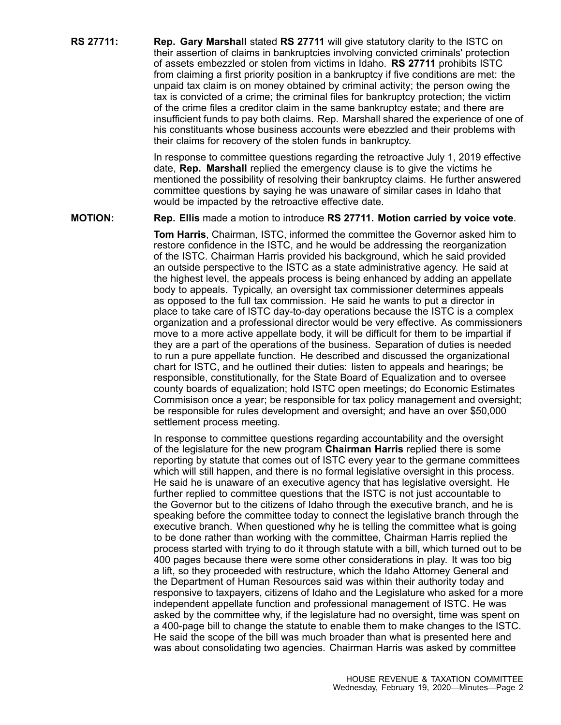**RS 27711: Rep. Gary Marshall** stated **RS 27711** will give statutory clarity to the ISTC on their assertion of claims in bankruptcies involving convicted criminals' protection of assets embezzled or stolen from victims in Idaho. **RS 27711** prohibits ISTC from claiming <sup>a</sup> first priority position in <sup>a</sup> bankruptcy if five conditions are met: the unpaid tax claim is on money obtained by criminal activity; the person owing the tax is convicted of <sup>a</sup> crime; the criminal files for bankruptcy protection; the victim of the crime files <sup>a</sup> creditor claim in the same bankruptcy estate; and there are insufficient funds to pay both claims. Rep. Marshall shared the experience of one of his constituants whose business accounts were ebezzled and their problems with their claims for recovery of the stolen funds in bankruptcy.

> In response to committee questions regarding the retroactive July 1, 2019 effective date, **Rep. Marshall** replied the emergency clause is to give the victims he mentioned the possibility of resolving their bankruptcy claims. He further answered committee questions by saying he was unaware of similar cases in Idaho that would be impacted by the retroactive effective date.

## **MOTION: Rep. Ellis** made <sup>a</sup> motion to introduce **RS 27711. Motion carried by voice vote**.

**Tom Harris**, Chairman, ISTC, informed the committee the Governor asked him to restore confidence in the ISTC, and he would be addressing the reorganization of the ISTC. Chairman Harris provided his background, which he said provided an outside perspective to the ISTC as <sup>a</sup> state administrative agency. He said at the highest level, the appeals process is being enhanced by adding an appellate body to appeals. Typically, an oversight tax commissioner determines appeals as opposed to the full tax commission. He said he wants to put <sup>a</sup> director in place to take care of ISTC day-to-day operations because the ISTC is <sup>a</sup> complex organization and <sup>a</sup> professional director would be very effective. As commissioners move to <sup>a</sup> more active appellate body, it will be difficult for them to be impartial if they are <sup>a</sup> part of the operations of the business. Separation of duties is needed to run <sup>a</sup> pure appellate function. He described and discussed the organizational chart for ISTC, and he outlined their duties: listen to appeals and hearings; be responsible, constitutionally, for the State Board of Equalization and to oversee county boards of equalization; hold ISTC open meetings; do Economic Estimates Commisison once <sup>a</sup> year; be responsible for tax policy management and oversight; be responsible for rules development and oversight; and have an over \$50,000 settlement process meeting.

In response to committee questions regarding accountability and the oversight of the legislature for the new program **Chairman Harris** replied there is some reporting by statute that comes out of ISTC every year to the germane committees which will still happen, and there is no formal legislative oversight in this process. He said he is unaware of an executive agency that has legislative oversight. He further replied to committee questions that the ISTC is not just accountable to the Governor but to the citizens of Idaho through the executive branch, and he is speaking before the committee today to connect the legislative branch through the executive branch. When questioned why he is telling the committee what is going to be done rather than working with the committee, Chairman Harris replied the process started with trying to do it through statute with <sup>a</sup> bill, which turned out to be 400 pages because there were some other considerations in play. It was too big <sup>a</sup> lift, so they proceeded with restructure, which the Idaho Attorney General and the Department of Human Resources said was within their authority today and responsive to taxpayers, citizens of Idaho and the Legislature who asked for <sup>a</sup> more independent appellate function and professional management of ISTC. He was asked by the committee why, if the legislature had no oversight, time was spent on <sup>a</sup> 400-page bill to change the statute to enable them to make changes to the ISTC. He said the scope of the bill was much broader than what is presented here and was about consolidating two agencies. Chairman Harris was asked by committee